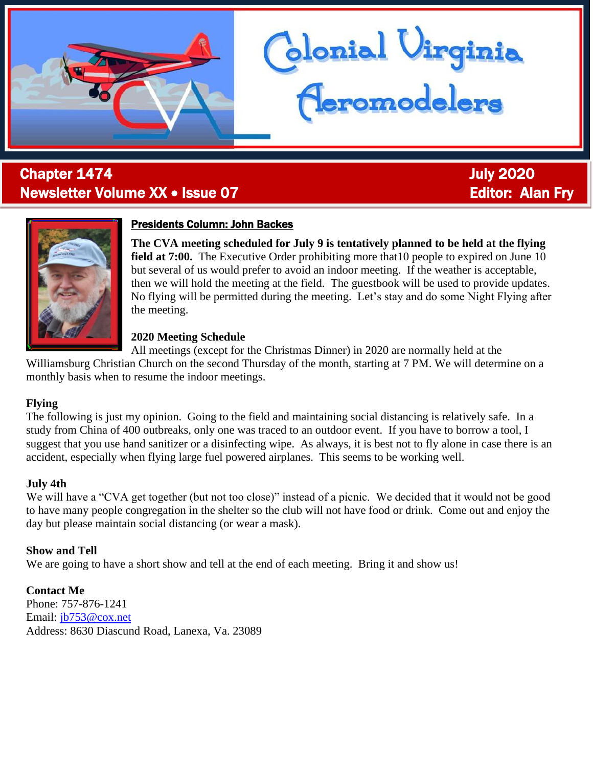# **Chapter 1474 July 2020** Newsletter Volume XX • Issue 07 Editor: Alan Fry



# Presidents Column: John Backes

**The CVA meeting scheduled for July 9 is tentatively planned to be held at the flying field at 7:00.** The Executive Order prohibiting more that 10 people to expired on June 10 but several of us would prefer to avoid an indoor meeting. If the weather is acceptable, then we will hold the meeting at the field. The guestbook will be used to provide updates. No flying will be permitted during the meeting. Let's stay and do some Night Flying after the meeting.

blonial Virginia<br><del>(Ieromodelers</del>

### **2020 Meeting Schedule**

All meetings (except for the Christmas Dinner) in 2020 are normally held at the

Williamsburg Christian Church on the second Thursday of the month, starting at 7 PM. We will determine on a monthly basis when to resume the indoor meetings.

### **Flying**

l

The following is just my opinion. Going to the field and maintaining social distancing is relatively safe. In a study from China of 400 outbreaks, only one was traced to an outdoor event. If you have to borrow a tool, I suggest that you use hand sanitizer or a disinfecting wipe. As always, it is best not to fly alone in case there is an accident, especially when flying large fuel powered airplanes. This seems to be working well.

### **July 4th**

We will have a "CVA get together (but not too close)" instead of a picnic. We decided that it would not be good to have many people congregation in the shelter so the club will not have food or drink. Come out and enjoy the day but please maintain social distancing (or wear a mask).

# **Show and Tell**

We are going to have a short show and tell at the end of each meeting. Bring it and show us!

**Contact Me** Phone: 757-876-1241 Email: [jb753@cox.net](mailto:jb753@cox.net) Address: 8630 Diascund Road, Lanexa, Va. 23089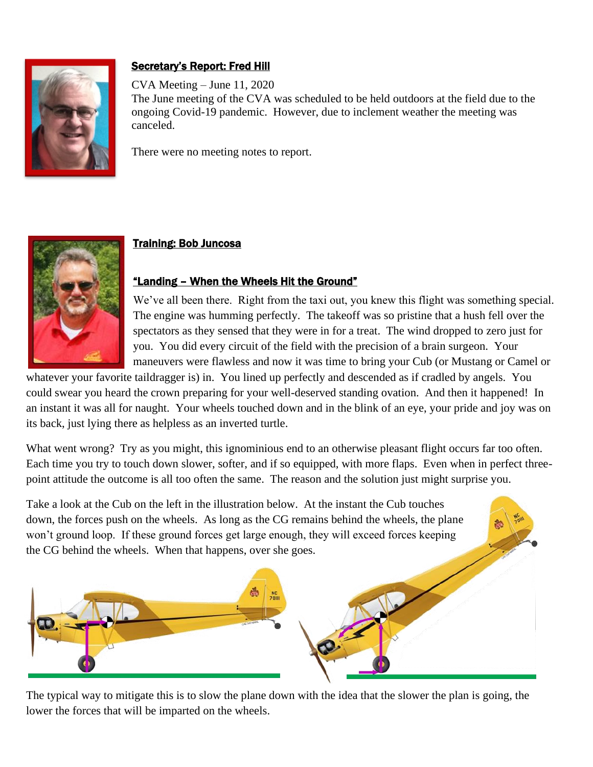

# Secretary's Report: Fred Hill

CVA Meeting – June 11, 2020 The June meeting of the CVA was scheduled to be held outdoors at the field due to the ongoing Covid-19 pandemic. However, due to inclement weather the meeting was canceled.

There were no meeting notes to report.



# Training: Bob Juncosa

# "Landing – When the Wheels Hit the Ground"

We've all been there. Right from the taxi out, you knew this flight was something special. The engine was humming perfectly. The takeoff was so pristine that a hush fell over the spectators as they sensed that they were in for a treat. The wind dropped to zero just for you. You did every circuit of the field with the precision of a brain surgeon. Your maneuvers were flawless and now it was time to bring your Cub (or Mustang or Camel or

whatever your favorite taildragger is) in. You lined up perfectly and descended as if cradled by angels. You could swear you heard the crown preparing for your well-deserved standing ovation. And then it happened! In an instant it was all for naught. Your wheels touched down and in the blink of an eye, your pride and joy was on its back, just lying there as helpless as an inverted turtle.

What went wrong? Try as you might, this ignominious end to an otherwise pleasant flight occurs far too often. Each time you try to touch down slower, softer, and if so equipped, with more flaps. Even when in perfect threepoint attitude the outcome is all too often the same. The reason and the solution just might surprise you.

Take a look at the Cub on the left in the illustration below. At the instant the Cub touches down, the forces push on the wheels. As long as the CG remains behind the wheels, the plane won't ground loop. If these ground forces get large enough, they will exceed forces keeping the CG behind the wheels. When that happens, over she goes.



The typical way to mitigate this is to slow the plane down with the idea that the slower the plan is going, the lower the forces that will be imparted on the wheels.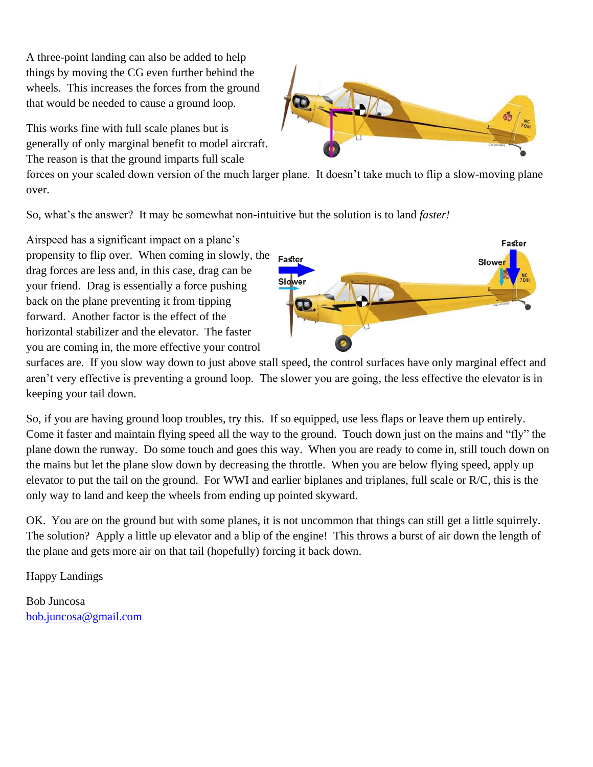A three-point landing can also be added to help things by moving the CG even further behind the wheels. This increases the forces from the ground that would be needed to cause a ground loop.

This works fine with full scale planes but is generally of only marginal benefit to model aircraft. The reason is that the ground imparts full scale



forces on your scaled down version of the much larger plane. It doesn't take much to flip a slow-moving plane over.

So, what's the answer? It may be somewhat non-intuitive but the solution is to land *faster!*

Airspeed has a significant impact on a plane's propensity to flip over. When coming in slowly, the drag forces are less and, in this case, drag can be your friend. Drag is essentially a force pushing back on the plane preventing it from tipping forward. Another factor is the effect of the horizontal stabilizer and the elevator. The faster you are coming in, the more effective your control



surfaces are. If you slow way down to just above stall speed, the control surfaces have only marginal effect and aren't very effective is preventing a ground loop. The slower you are going, the less effective the elevator is in keeping your tail down.

So, if you are having ground loop troubles, try this. If so equipped, use less flaps or leave them up entirely. Come it faster and maintain flying speed all the way to the ground. Touch down just on the mains and "fly" the plane down the runway. Do some touch and goes this way. When you are ready to come in, still touch down on the mains but let the plane slow down by decreasing the throttle. When you are below flying speed, apply up elevator to put the tail on the ground. For WWI and earlier biplanes and triplanes, full scale or R/C, this is the only way to land and keep the wheels from ending up pointed skyward.

OK. You are on the ground but with some planes, it is not uncommon that things can still get a little squirrely. The solution? Apply a little up elevator and a blip of the engine! This throws a burst of air down the length of the plane and gets more air on that tail (hopefully) forcing it back down.

Happy Landings

Bob Juncosa [bob.juncosa@gmail.com](mailto:bob.juncosa@gmail.com)